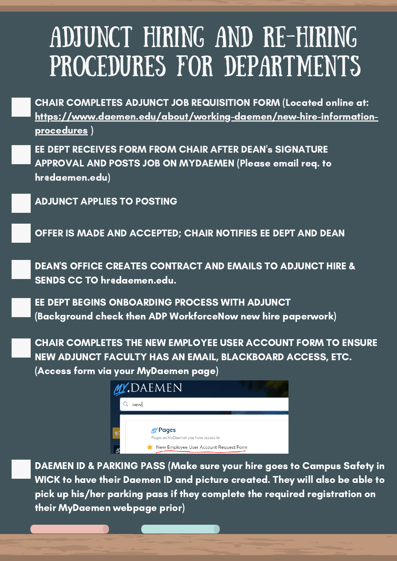## ADJUNCT HIRING AND RE-HIRING PROCEDURES FOR DEPARTMENTS

CHAIR COMPLETES ADJUNCT JOB REQUISITION FORM (Located online at: [https://www.daemen.edu/about/working-daemen/new-hire-information](https://www.daemen.edu/about/working-daemen/new-hire-information-procedures)procedures )

EE DEPT RECEIVES FORM FROM CHAIR AFTER DEAN's SIGNATURE APPROVAL AND POSTS JOB ON MYDAEMEN (Please email req. to hr@daemen.edu)

ADJUNCT APPLIES TO POSTING

OFFER IS MADE AND ACCEPTED; CHAIR NOTIFIES EE DEPT AND DEAN

DEAN'S OFFICE CREATES CONTRACT AND EMAILS TO ADJUNCT HIRE & SENDS CC TO hredaemen.edu.

EE DEPT BEGINS ONBOARDING PROCESS WITH ADJUNCT (Background check then ADP WorkforceNow new hire paperwork)

CHAIR COMPLETES THE NEW EMPLOYEE USER ACCOUNT FORM TO ENSURE NEW ADJUNCT FACULTY HAS AN EMAIL, BLACKBOARD ACCESS, ETC. (Access form via your MyDaemen page)



DAEMEN ID & PARKING PASS (Make sure your hire goes to Campus Safety in WICK to have their Daemen ID and picture created. They will also be able to pick up his/her parking pass if they complete the required registration on their MyDaemen webpage prior)